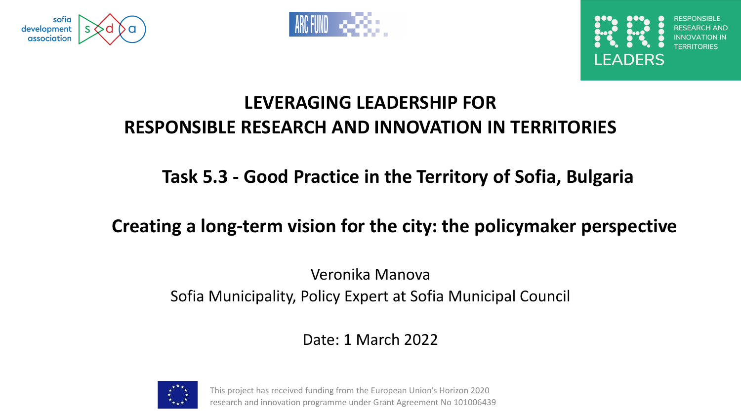





#### **LEVERAGING LEADERSHIP FOR RESPONSIBLE RESEARCH AND INNOVATION IN TERRITORIES**

#### **Task 5.3 - Good Practice in the Territory of Sofia, Bulgaria**

#### **Creating a long-term vision for the city: the policymaker perspective**

#### Veronika Manova Sofia Municipality, Policy Expert at Sofia Municipal Council

#### Date: 1 March 2022



This project has received funding from the European Union's Horizon 2020 research and innovation programme under Grant Agreement No 101006439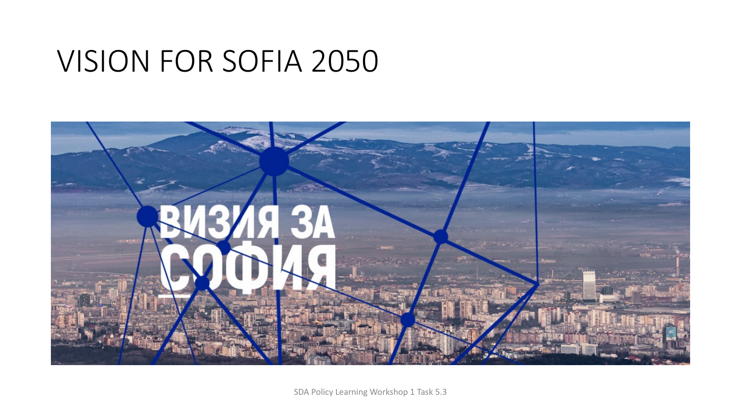### VISION FOR SOFIA 2050



SDA Policy Learning Workshop 1 Task 5.3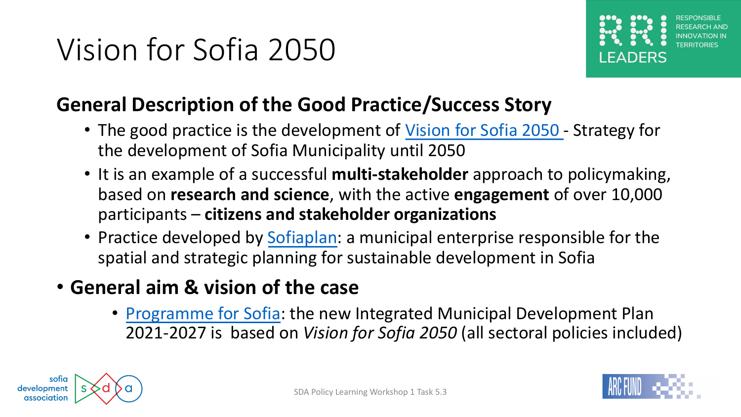#### **General Description of the Good Practice/Succ**

- T[he good practice is the](https://sofiaplan.bg/portfolio/program-of-sofia/) development of Vision for the development of Sofia Municipality until 2050
- It is an example of a successful **multi-stakeholder** based on **research and science**, with the active en participants – citizens and stakeholder organizations
- Practice developed by Sofiaplan: a municipal enter spatial and strategic planning for sustainable deve
- **General aim & vision of the case**
	- Programme for Sofia: the new Integrated Mun 2021-2027 is based on Vision for Sofia 2050 (a

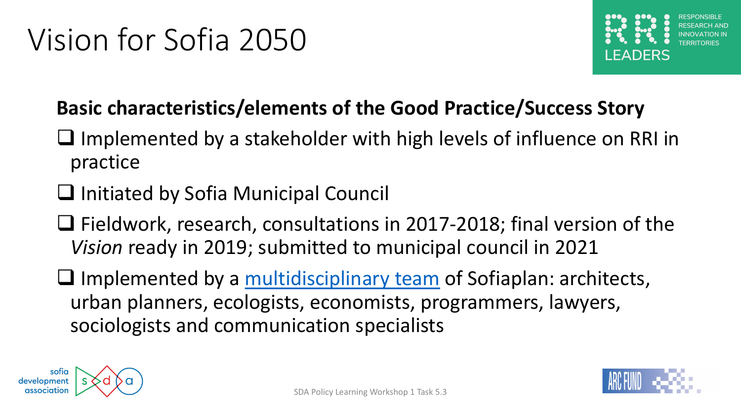### **Basic characteristics/elements of the Good Pra**

- $\square$  Implemented by a stakeholder with high leve practice
- $\Box$  Initiated by Sofia Municipal Council
- $\Box$  Fieldwork, research, consultations in 2017-20 *Vision* ready in 2019; submitted to municipal on
- $\square$  Implemented by a multidisciplinary team of S urban planners, ecologists, economists, program sociologists and communication specialists

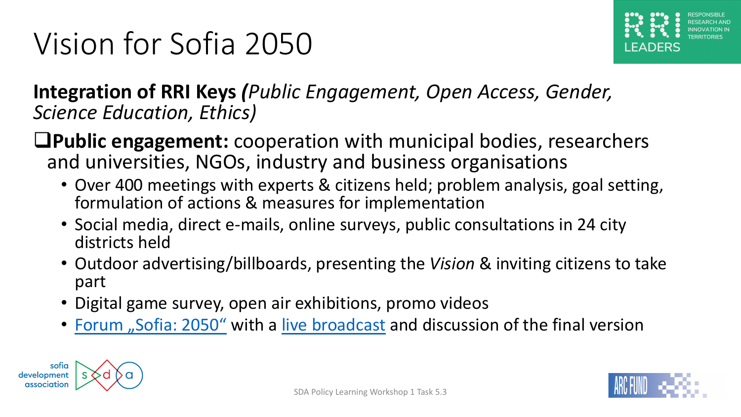#### **Integration of RRI Keys (Public Engagement, Open** *Science Education, Ethics)*

**Q[Public engagement:](https://vizia.sofia.bg/2019/09/02/sofia_2050_goals/)** coop[eration with](https://www.facebook.com/pg/ViziaZaSofia/videos/?ref=page_internal) municipal and universities, NGOs, industry and business organisation

- Over 400 meetings with experts & citizens held; prob formulation of actions & measures for implementation
- Social media, direct e-mails, online surveys, public co districts held
- Outdoor advertising/billboards, presenting the Vision part
- Digital game survey, open air exhibitions, promo vide
- Forum "Sofia: 2050" with a live broadcast and discuss

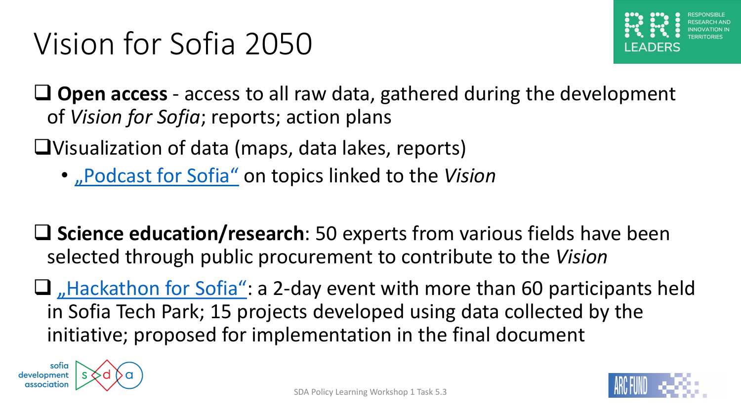$\Box$  **[Open access](https://vizia.sofia.bg/hackathon/)** - access to all raw data, gathered c of *Vision for Sofia*; reports; action plans

 $\bigcup$ Visualization of data (maps, data lakes, reports)

- "Podcast for Sofia" on topics linked to the Vision
- **Q** Science education/research: 50 experts from va selected through public procurement to contribute
- $\Box$  Hackathon for Sofia": a 2-day event with more in Sofia Tech Park; 15 projects developed using d initiative; proposed for implementation in the fir

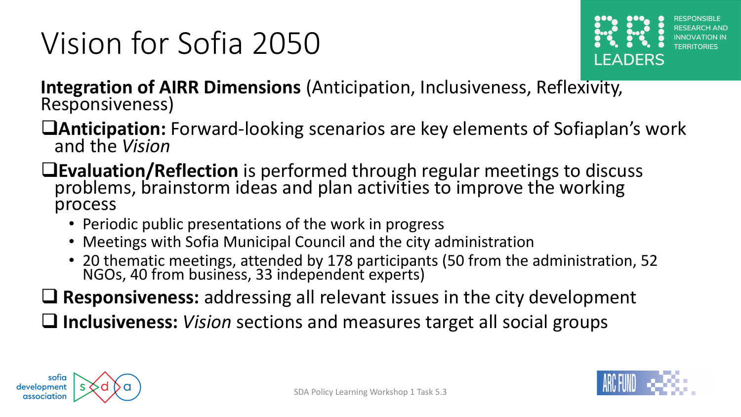

**Integration of AIRR Dimensions** (Anticipation, Inclusiveness, Reflexivity, Responsiveness)

- **QAnticipation:** Forward-looking scenarios are key elements of Sofiaplan's work and the *Vision*
- **QEvaluation/Reflection** is performed through regular meetings to discuss problems, brainstorm ideas and plan activities to improve the working process
	- Periodic public presentations of the work in progress
	- Meetings with Sofia Municipal Council and the city administration
	- 20 thematic meetings, attended by 178 participants (50 from the administration, 52 NGOs, 40 from business, 33 independent experts)
- **Q** Responsiveness: addressing all relevant issues in the city development

□ Inclusiveness: *Vision* sections and measures target all social groups



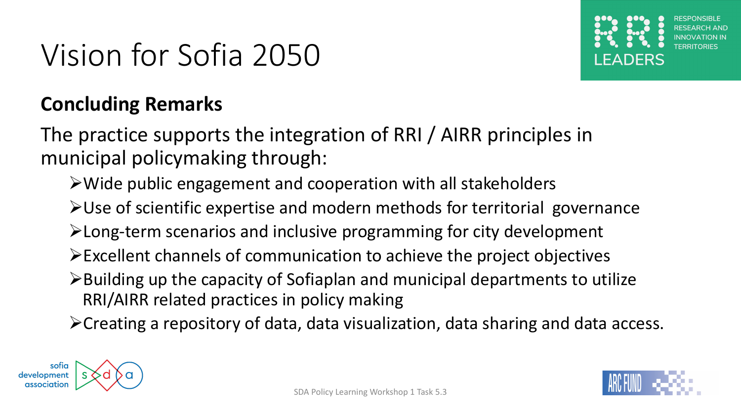

#### **Concluding Remarks**

The practice supports the integration of RRI / AIRR principles in municipal policymaking through:

- ØWide public engagement and cooperation with all stakeholders
- $\blacktriangleright$  Use of scientific expertise and modern methods for territorial governance
- $\blacktriangleright$  Long-term scenarios and inclusive programming for city development
- ØExcellent channels of communication to achieve the project objectives
- $\triangleright$  Building up the capacity of Sofiaplan and municipal departments to utilize RRI/AIRR related practices in policy making

 $\triangleright$  Creating a repository of data, data visualization, data sharing and data access.



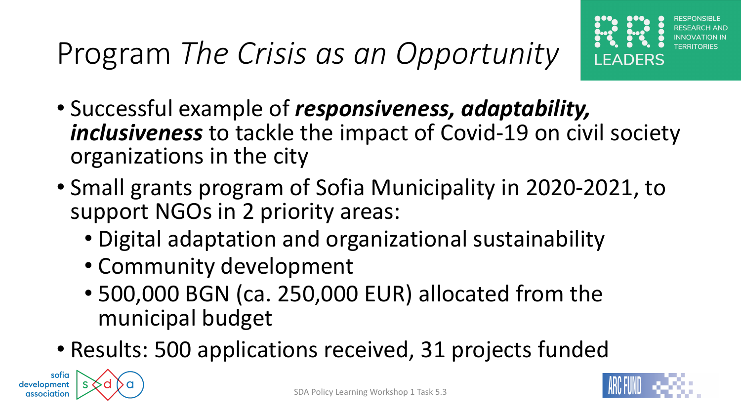# Program *The Crisis as an Opportunity*



- Successful example of *responsiveness, adaptability, inclusiveness* to tackle the impact of Covid-19 on civil society organizations in the city
- Small grants program of Sofia Municipality in 2020-2021, to support NGOs in 2 priority areas:
	- Digital adaptation and organizational sustainability
	- Community development
	- 500,000 BGN (ca. 250,000 EUR) allocated from the municipal budget
- Results: 500 applications received, 31 projects funded